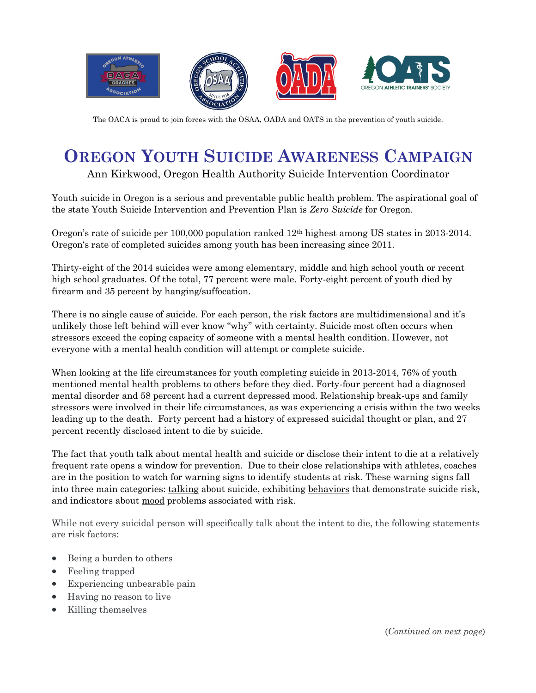

The OACA is proud to join forces with the OSAA, OADA and OATS in the prevention of youth suicide.

## **OREGON YOUTH SUICIDE AWARENESS CAMPAIGN**

Ann Kirkwood, Oregon Health Authority Suicide Intervention Coordinator

Youth suicide in Oregon is a serious and preventable public health problem. The aspirational goal of the state Youth Suicide Intervention and Prevention Plan is *Zero Suicide* for Oregon.

Oregon's rate of suicide per 100,000 population ranked 12th highest among US states in 2013-2014. Oregon's rate of completed suicides among youth has been increasing since 2011.

Thirty-eight of the 2014 suicides were among elementary, middle and high school youth or recent high school graduates. Of the total, 77 percent were male. Forty-eight percent of youth died by firearm and 35 percent by hanging/suffocation.

There is no single cause of suicide. For each person, the risk factors are multidimensional and it's unlikely those left behind will ever know "why" with certainty. Suicide most often occurs when stressors exceed the coping capacity of someone with a mental health condition. However, not everyone with a mental health condition will attempt or complete suicide.

When looking at the life circumstances for youth completing suicide in 2013-2014, 76% of youth mentioned mental health problems to others before they died. Forty-four percent had a diagnosed mental disorder and 58 percent had a current depressed mood. Relationship break-ups and family stressors were involved in their life circumstances, as was experiencing a crisis within the two weeks leading up to the death. Forty percent had a history of expressed suicidal thought or plan, and 27 percent recently disclosed intent to die by suicide.

The fact that youth talk about mental health and suicide or disclose their intent to die at a relatively frequent rate opens a window for prevention. Due to their close relationships with athletes, coaches are in the position to watch for warning signs to identify students at risk. These warning signs fall into three main categories: talking about suicide, exhibiting behaviors that demonstrate suicide risk, and indicators about mood problems associated with risk.

While not every suicidal person will specifically talk about the intent to die, the following statements are risk factors:

- Being a burden to others
- Feeling trapped
- Experiencing unbearable pain
- Having no reason to live
- Killing themselves